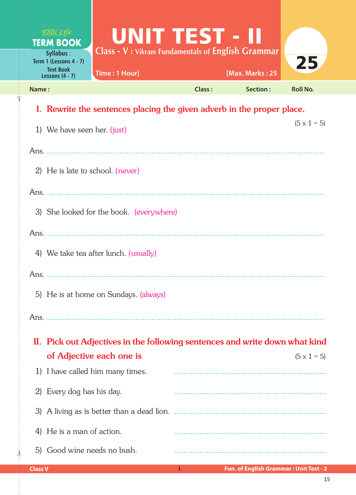| Real Life<br><b>TERM BOOK</b><br><b>Syllabus:</b><br>Term 1 (Lessons 4 - 7)<br><b>Text Book</b><br>Lessons $(4 - 7)$ | UNIT TEST - II<br>Class - V: Vikram Fundamentals of English Grammar<br>Time: 1 Hour]                    |        | [Max. Marks: 25 | 25                 |  |  |
|----------------------------------------------------------------------------------------------------------------------|---------------------------------------------------------------------------------------------------------|--------|-----------------|--------------------|--|--|
| Name:                                                                                                                |                                                                                                         | Class: | Section:        | <b>Roll No.</b>    |  |  |
| I. Rewrite the sentences placing the given adverb in the proper place.                                               |                                                                                                         |        |                 |                    |  |  |
| 1) We have seen her. (just)                                                                                          |                                                                                                         |        |                 | $(5 \times 1 = 5)$ |  |  |
|                                                                                                                      |                                                                                                         |        |                 |                    |  |  |
| 2) He is late to school. (never)                                                                                     |                                                                                                         |        |                 |                    |  |  |
|                                                                                                                      |                                                                                                         |        |                 |                    |  |  |
| 3) She looked for the book. (everywhere)                                                                             |                                                                                                         |        |                 |                    |  |  |
|                                                                                                                      |                                                                                                         |        |                 |                    |  |  |
| 4) We take tea after lunch. (usually)                                                                                |                                                                                                         |        |                 |                    |  |  |
|                                                                                                                      |                                                                                                         |        |                 |                    |  |  |
| 5) He is at home on Sundays. (always)                                                                                |                                                                                                         |        |                 |                    |  |  |
|                                                                                                                      |                                                                                                         |        |                 |                    |  |  |
|                                                                                                                      |                                                                                                         |        |                 |                    |  |  |
|                                                                                                                      | II. Pick out Adjectives in the following sentences and write down what kind<br>of Adjective each one is |        |                 | $(5 \times 1 = 5)$ |  |  |
| 1) I have called him many times.                                                                                     |                                                                                                         |        |                 |                    |  |  |
| Every dog has his day.<br>2)                                                                                         |                                                                                                         |        |                 |                    |  |  |
| 3)                                                                                                                   |                                                                                                         |        |                 |                    |  |  |
| He is a man of action.<br>4)                                                                                         |                                                                                                         |        |                 |                    |  |  |
| Good wine needs no bush.<br>5)                                                                                       |                                                                                                         |        |                 |                    |  |  |

 $\frac{1}{2}$ 

✁